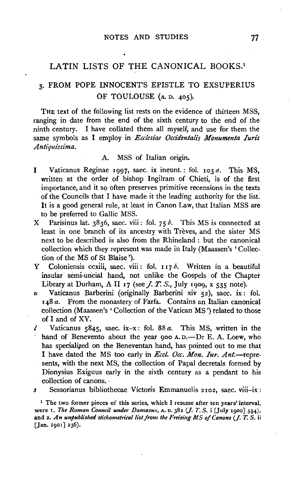## LATIN LISTS OF THE CANONICAL BOOKS.<sup>1</sup>

# 3· FROM POPE INNOCENT'S EPISTLE TO EXSUPERIUS OF TOULOUSE (A. D. 405).

THE text of the following list rests on the evidence of thirteen MSS, ranging in date from the end of the sixth century to the end of the ninth century. I have collated them all myself, and use for them the same symbols as I employ in *Ecclesiae Occidentali's Monumenta Iuris A ntiquissima.* 

## A. MSS of Italian origin.

- I Vaticanus Reginae 1997, saec. ix ineunt.: fol. 103 *a.* This MS, written at the order of bishop Ingilram of Chieti, is of the first importance, and it so often preserves primitive recensions in the texts of the Councils that I have made it the leading authority for the list.' It is a good general rule, at least in Canon Law, that Italian MSS are to be preferred to Gallic MSS.
- X Parisinus lat.  $3836$ , saec. viii: fol. 75 b. This MS is connected at least in one branch of its ancestry with Treves, and the sister MS next to be described is also from the Rhineland : but the canonical collection which they represent was made in Italy (Maassen's ' Collection of the MS of St Blaise ').
- Y Coloniensis ccxiii, saec. viii: fol. 117*b*. Written in a beautiful insular semi-uncial hand, not unlike the Gospels of the Chapter Library at Durham, A II 17 (see  $J. T. S$ ., July 1909, x 535 note).
- *u* Vaticanus Barberini (originally Barberini xiv 52), saec. ix: fol. 148 *a.* From the monastery of Farfa. Contains an Italian canonical collection (Maassen's ' Collection of the Vatican MS') related to those of I and of XY.
- l Vaticanus 5845, saec. ix-x: fol. 88 *a.* This MS, written in the hand of Benevento about the year 900 A.D.-Dr E. A. Loew, who has specialized on the Beneventan hand, has pointed out to me that I have dated the MS too early in *Eccl. Occ. Mon. Iur. Ant.*—represents, with the next MS, the collection of Papal decretals formed by Dionysius Exiguus early in the sixth century as a pendant to his collection of canons.
- *.s* Sessorianus bibliothecae Victoris Emmanuelis 2102, saec. viii-ix:

<sup>1</sup> The two former pieces of this series, which I resume after ten years' interval, were 1. *The Roman Council under Damasus,* A. D. 382 (J. *T. S.* i [July 1900] 554), and 2. An unpublished stichometrical list from the Freising MS of Canons (J. T. S. ii [Jan. 1901] 236).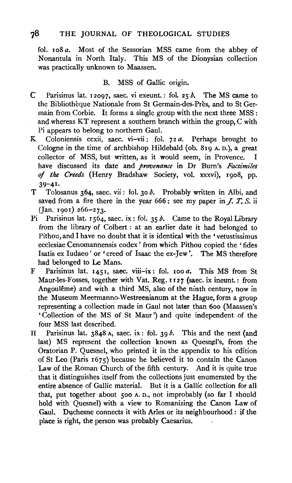## 78 THE JOURNAL OF THEOLOGICAL STUDIES

fol. 108 *a.* Most of the Sessorian MSS came from the abbey of Nonantula in North Italy. This MS of the Dionysian collection was practically unknown to Maassen.

### B. MSS of Gallic origin.

- C Parisinus lat. 12097, saec. vi exeunt.: fol. 25 *b.* The MS came to the Bibliothèque Nationale from St Germain-des-Près, and to St Germain from Corbie. It forms a single group with the next three MSS : and whereas KT represent a southern branch within the group, C with Pi appears to belong to northern Gaul.
- K Coloniensis ccxii, saec. vi-vii: fol. 72 *a.* Perhaps brought to Cologne in the time of archbishop Hildebald (ob. 819 A. D.), a great collector of MSS, but written, as it would seem, in Provence. I have discussed its date and *provenance* in Dr Bum's *Facsimiles*  of *the Creeds* (Henry Bradshaw Society, vol. xxxvi), 1908, pp.  $39 - 41$
- T Tolosanus 364, saec. vii : fol. 30 *b.* Probably written in Albi, and saved from a fire there in the year  $666$ ; see my paper in *J. T. S.* ii (Jan. 1901) 266-273.
- Pi<sup>n</sup> Parisinus lat. 1564, saec. ix : fol. 35 *b*. Came to the Royal Library from the library of Colbert : at an earlier date it had belonged to Pithou, and I have no doubt that it is identical with the 'vetustissimus ecclesiae Cenomannensis codex' from which Pithou copied the 'fides Isatis ex Iudaeo' or 'creed of Isaac the ex-Jew'. The MS therefore had belonged to Le Mans.
- F Parisinus lat. 1451, saec. viii-ix: fol. 100 *a.* This MS from St Maur-les-Fosses, together with Vat. Reg. 1127 (saec. ix ineunt.: from Angoulême) and with a third MS, also of the ninth century, now in the Museum Meermanno-Westreenianum at the Hague, form a group representing a collection made in Gaul not later than 6oo (Maassen's ' Collection of the MS of St Maur ') and quite independent of the four MSS last described.
- II Parisinus lat. 3848 A, saec. ix : fol. 39 *b.* This and the next (and last) MS represent the collection known as Quesnel's, from the Oratorian P. Quesnel, who printed it in the appendix to his edition of St Leo (Paris 1675) because he believed it to contain the Canon Law of the Roman Church of the fifth century. And it is quite true that it distinguishes itself from the collections just enumerated by the entire absence of Gallic material. But it is a Gallic collection for all that, put together about 500 A. D., not improbably (so far I should hold with Quesnel) with a view to Romanizing the Canon Law of Gaul. Duchesne connects it with Arles or its neighbourhood : if the place is right, the person was probably Caesarius.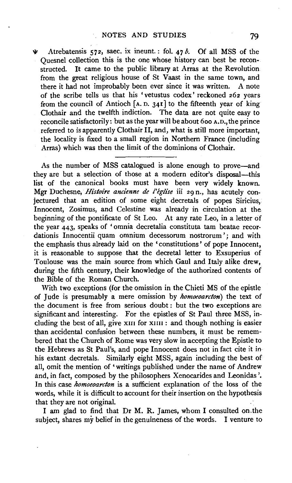*'lt* Atrebatensis 572, saec. ix ineunt.: fol. 47 *b.* Of all MSS of the Quesnel collection this is the one whose history can best be reconstructed. It came to the public library at Arras at the Revolution from the great religious house of St Vaast in the same town, and there it had not improbably been ever since it was written. A note of the scribe tells us that his 'vetustus codex' reckoned 262 years from the council of Antioch  $[A, D, 34]$  to the fifteenth year of king Clothair and the twelfth indiction. The data are not quite easy to reconcile satisfactorily: but as the year will be about 6oo A. D., the prince referred to is apparently Clothair II, and, what is still more important, the locality is fixed to a small region in Northern France (including Arras) which was then the limit of the dominions of Clothair.

As the number of MSS catalogued is alone enough to prove-and they are but a selection of those at a modern editor's disposal-this list of the canonical books must have been very widely known. Mgr Duchesne, *Histoire ancienne de l'eglise* iii 29 n., has acutely conjectured that an edition of some eight decretals of popes Siricius. Innocent, Zosimus, and Celestine was already in circulation at the beginning of the pontificate of St Leo. At any rate Leo, in a letter of the year 443, speaks of 'omnia decretalia constituta tam beatae recordationis Innocentii quam omnium decessorum nostrorum '; and with the emphasis thus already laid on the 'constitutions' of pope Innocent, it is reasonable to suppose that the decretal letter to Exsuperius of Toulouse was the main source from which Gaul and Italy alike drew, during the fifth century, their knowledge of the authorized contents of the Bible of the Roman Church.

With two exceptions (for the omission in the Chieti MS of the epistle of Jude is presumably a mere omission by *homoeoarcton)* the text of the document is free from serious doubt : but the two exceptions are significant and interesting. For the epistles of St Paul three MSS, including the best of all, give  $x_{III}$  for  $x_{III}$  : and though nothing is easier than accidental confusion between these numbers, it must be remembered that the Church of Rome was very slow in accepting the Epistle to the Hebrews as St Paul's, and pope Innocent does not in fact cite it in his extant decretals. Similarly eight MSS, again including the best of all, omit the mention of 'writings published under the name of Andrew and, in fact, composed by the philosophers Xenocarides and Leonidas '. In this case *homoeoarcton* is a sufficient explanation of the loss of the words, while it is difficult to account for their insertion on the hypothesis that they are not original.

I am glad to find that Dr M. R. James, whom I consulted on.the subject, shares my belief in the genuineness of the words. I venture to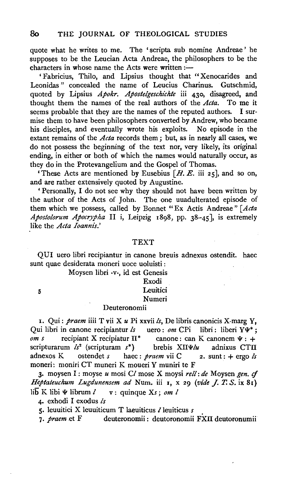quote what he writes to me. The 'scripta sub nomine Andreae' he supposes to be the Leucian Acta Andreae, the philosophers to be the characters in whose name the Acts were written : $-$ 

' Fabricius, Thilo, and Lipsius thought that "Xenocarides and Leonidas " concealed the name of Leucius Charinus. Gutschmid, quoted by Lipsius *Apokr. Apostelgeschichte* iii 430, disagreed, and thought them the names of the real authors of the  $Acta$ . To me it seems probable that they are the names of the reputed authors. I surseems probable that they are the names of the reputed authors. mise them to have been philosophers converted by Andrew, who became his disciples, and eventually wrote his exploits. No episode in the extant remains of the *Acta* records them ; but, as in nearly all cases, we do not possess the beginning of the text nor, very likely, its original ending, in either or both of which the names would naturally occur, as they do in the Protevangelium and the Gospel of Thomas.

'These Acts are mentioned by Eusebius  $[H, E, \text{ iii } 25]$ , and so on, and are rather extensively quoted by Augustine.

'Personally, I do not see why they should not have been written by the author of the Acts of John. The one uuadulterated episode of them which we possess, called by Bonnet "Ex Actis Andreae" *[Acta Apostolorum Apocrypha* 11 i, Leipzig 18g8, pp. 38-45], is extremely like the *Acta Ioannis.'* 

#### TEXT

QUI uero libri recipiantur in canone breuis adnexus ostendit. haec sunt quae desiderata moneri uoce uoluisti :

Moysen libri ·V·, id est Genesis

## Exodi **Leuitici**

# Numeri

## Deuteronomii

I. Qui: *praem* iiii T vii X *u* Pi xxvii *ls,* De libris canonicis X-marg Y, Qui libri in canone recipiantur *ls* uero: *om* CPi libri: liberi Y $\Psi^*$ ; *om s* recipiant X recipiatur  $\Pi^*$  canone: can K canonem  $\Psi : +$ scripturarum *ls<sup>2</sup>* (scripturam s\*) brebis XIIV/*u* adnixus CTII adnexos K ostendet *s* haec: *praem* vii C 2. sunt: +ergo *ls*  moneri: moniri CT muneri K moueri Y muniri te F

3· moysen I : moyse *u* mosi *Cl* mose X moysi *rell: de* Moysen *gen. cf Heptateuchum Lugdunensem ad* Num. iii I, x 29 *(vide J. T. S.* ix 81) lib K libi  $\Psi$  librum  $\ell$  v : quinque  $X_s$ ; om  $\ell$ 

4· exhodi I exodus *ls* 

5

5. leuuitici X leuuiticum T laeuiticus *l* leuiticus *s* 

7. *praem* .et F deuteronomii : deutoronomii FXII deutoronumii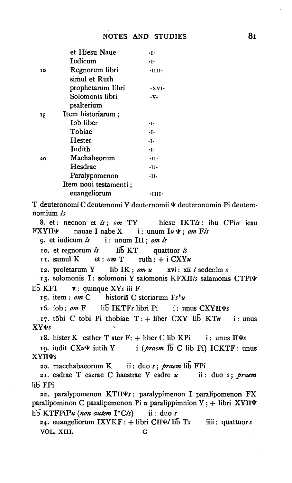|                    | et Hiesu Naue                                             | $\cdot$ .            |
|--------------------|-----------------------------------------------------------|----------------------|
|                    | Iudicum                                                   | ٠Ι٠                  |
| 10                 | Regnorum libri                                            | $\cdot$ IIII $\cdot$ |
|                    | simul et Ruth                                             |                      |
|                    | prophetarum libri                                         | $\cdot$ XVI $\cdot$  |
|                    | Solomonis libri                                           | ٠ν.                  |
|                    | psalterium                                                |                      |
| 15                 | Item historiarum;                                         |                      |
|                    | <b>Iob</b> liber                                          | ٠١.                  |
|                    | Tobiae                                                    | $\cdot$ T $\cdot$    |
|                    | Hester                                                    | ٠І٠                  |
|                    | Iudith                                                    | $\cdot$ I $\cdot$    |
| 20                 | Machabeorum                                               | $\cdot$ II $\cdot$   |
|                    | Hesdrae                                                   | $\cdot$ II $\cdot$   |
|                    | Paralypomenon                                             | $\cdot$ II $\cdot$   |
|                    | Item noui testamenti;                                     |                      |
|                    | euangeliorum                                              | ۰Ш۱۰                 |
|                    | T deuteronomi C deuternomi Y deuternomii $\Psi$ deuteronu |                      |
| nomium $\lambda$ s |                                                           |                      |
|                    | 8. et: necnon et ls; om TY hiesu IKTls:                   |                      |
|                    | FXYII $\Psi$ nauae I nabe X i: unum Iu $\Psi$ ; om Fls    |                      |
|                    | 9. et iudicum $\ell s$ i: unum III; om $\ell s$           |                      |
|                    |                                                           |                      |

 $\sigma$ , et regnorum  $\delta$  $11\overline{b}$  KT quattuor  $\zeta$ 

II. samul K et:  $\omega m$  T  $\text{nth}: + \text{i CXY}u$ 

lib IK; om u xvi: xii l sedecim s 12. profetarum Y

13. solomonis I: solomoni Y salomonis KFXII/s salamonis CTPi¥  $11\bar{b}$  KFI  $v:$  quinque  $XYs$  iii F

15. item:  $om C$ historiā C storiarum Fs\*u

lib IKTFs libri Pi 16. iob:  $\omega m$  F  $i:$  unus  $\text{CXY}\Pi\Psi s$ 

17. tōbi C tobi Pi thobiae T: + liber CXY lib KTu  $i:$  unus **XYWs** 

18. hister K esther T ster F: + liber C lib KPi i: unus  $\Pi\Psi s$ 

19. iudit CXuV iutih Y i (praem lb C lib Pi) ICKTF: unus XΥΠΨs

20. macchabaeorum K ii: duo s; praem lib FPi

21. esdrae T eszrae C haestrae Y esdre u ii: duo s; praem lib FPi

22. paralypomenon KTIIVs: paralypimenon I paralipomenon FX paralipominon C paralipemenon Pi u paralippimnion Y; + libri XYIIV  $\overline{\text{lib}}$  KTFPiI<sup>2</sup>u (non autem I<sup>\*</sup>Cls) ii: duo s

24. euangeliorum  $IXYKF: +$  libri  $C\Pi\Psi$ libri  $Ts$ iiii:  $quattuor s$ VOL. XIII. G

deuteronumio Pi deutero-

IKTL: ihu CPiu iesu